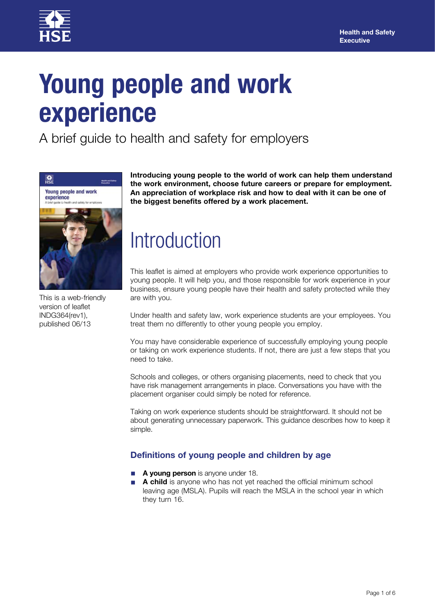

# **Young people and work experience**

A brief guide to health and safety for employers



This is a web-friendly version of leaflet INDG364(rev1), published 06/13

**Introducing young people to the world of work can help them understand the work environment, choose future careers or prepare for employment. An appreciation of workplace risk and how to deal with it can be one of the biggest benefits offered by a work placement.** 

### **Introduction**

This leaflet is aimed at employers who provide work experience opportunities to young people. It will help you, and those responsible for work experience in your business, ensure young people have their health and safety protected while they are with you.

Under health and safety law, work experience students are your employees. You treat them no differently to other young people you employ.

You may have considerable experience of successfully employing young people or taking on work experience students. If not, there are just a few steps that you need to take.

Schools and colleges, or others organising placements, need to check that you have risk management arrangements in place. Conversations you have with the placement organiser could simply be noted for reference.

Taking on work experience students should be straightforward. It should not be about generating unnecessary paperwork. This guidance describes how to keep it simple.

#### **Definitions of young people and children by age**

- A young person is anyone under 18.
- A child is anyone who has not yet reached the official minimum school leaving age (MSLA). Pupils will reach the MSLA in the school year in which they turn 16.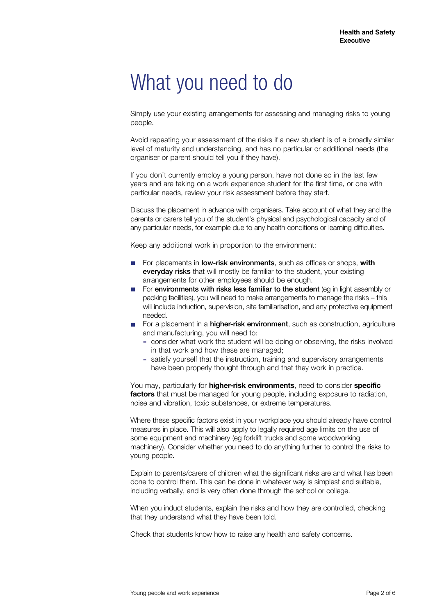### What you need to do

Simply use your existing arrangements for assessing and managing risks to young people.

Avoid repeating your assessment of the risks if a new student is of a broadly similar level of maturity and understanding, and has no particular or additional needs (the organiser or parent should tell you if they have).

If you don't currently employ a young person, have not done so in the last few years and are taking on a work experience student for the first time, or one with particular needs, review your risk assessment before they start.

Discuss the placement in advance with organisers. Take account of what they and the parents or carers tell you of the student's physical and psychological capacity and of any particular needs, for example due to any health conditions or learning difficulties.

Keep any additional work in proportion to the environment:

- For placements in low-risk environments, such as offices or shops, **with** everyday risks that will mostly be familiar to the student, your existing arrangements for other employees should be enough.
- For environments with risks less familiar to the student (eg in light assembly or packing facilities), you will need to make arrangements to manage the risks – this will include induction, supervision, site familiarisation, and any protective equipment needed.
- For a placement in a **higher-risk environment**, such as construction, agriculture and manufacturing, you will need to:
	- ▬ consider what work the student will be doing or observing, the risks involved in that work and how these are managed;
	- ▬ satisfy yourself that the instruction, training and supervisory arrangements have been properly thought through and that they work in practice.

You may, particularly for **higher-risk environments**, need to consider **specific factors** that must be managed for young people, including exposure to radiation, noise and vibration, toxic substances, or extreme temperatures.

Where these specific factors exist in your workplace you should already have control measures in place. This will also apply to legally required age limits on the use of some equipment and machinery (eg forklift trucks and some woodworking machinery). Consider whether you need to do anything further to control the risks to young people.

Explain to parents/carers of children what the significant risks are and what has been done to control them. This can be done in whatever way is simplest and suitable, including verbally, and is very often done through the school or college.

When you induct students, explain the risks and how they are controlled, checking that they understand what they have been told.

Check that students know how to raise any health and safety concerns.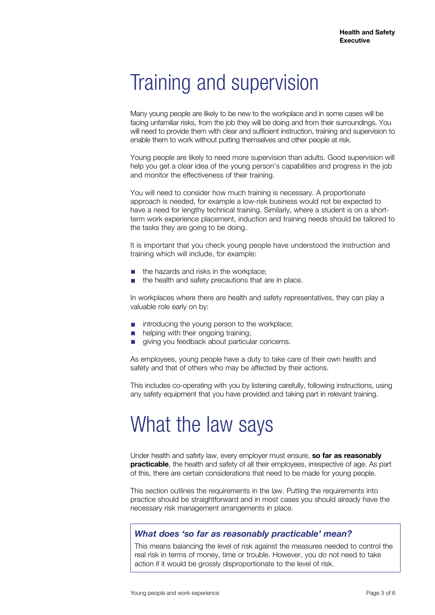# Training and supervision

Many young people are likely to be new to the workplace and in some cases will be facing unfamiliar risks, from the job they will be doing and from their surroundings. You will need to provide them with clear and sufficient instruction, training and supervision to enable them to work without putting themselves and other people at risk.

Young people are likely to need more supervision than adults. Good supervision will help you get a clear idea of the young person's capabilities and progress in the job and monitor the effectiveness of their training.

You will need to consider how much training is necessary. A proportionate approach is needed, for example a low-risk business would not be expected to have a need for lengthy technical training. Similarly, where a student is on a shortterm work experience placement, induction and training needs should be tailored to the tasks they are going to be doing.

It is important that you check young people have understood the instruction and training which will include, for example:

- the hazards and risks in the workplace;
- the health and safety precautions that are in place.

In workplaces where there are health and safety representatives, they can play a valuable role early on by:

- introducing the young person to the workplace;
- helping with their ongoing training;
- giving you feedback about particular concerns.

As employees, young people have a duty to take care of their own health and safety and that of others who may be affected by their actions.

This includes co-operating with you by listening carefully, following instructions, using any safety equipment that you have provided and taking part in relevant training.

# What the law says

Under health and safety law, every employer must ensure, **so far as reasonably practicable**, the health and safety of all their employees, irrespective of age. As part of this, there are certain considerations that need to be made for young people.

This section outlines the requirements in the law. Putting the requirements into practice should be straightforward and in most cases you should already have the necessary risk management arrangements in place.

#### *What does 'so far as reasonably practicable' mean?*

This means balancing the level of risk against the measures needed to control the real risk in terms of money, time or trouble. However, you do not need to take action if it would be grossly disproportionate to the level of risk.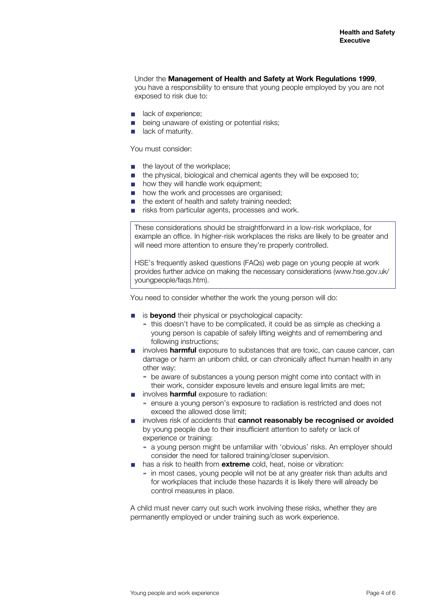#### Under the **Management of Health and Safety at Work Regulations 1999**,

you have a responsibility to ensure that young people employed by you are not exposed to risk due to:

- lack of experience;
- being unaware of existing or potential risks;
- lack of maturity.

You must consider:

- the layout of the workplace:
- the physical, biological and chemical agents they will be exposed to:
- how they will handle work equipment:
- how the work and processes are organised:
- the extent of health and safety training needed:
- risks from particular agents, processes and work.

These considerations should be straightforward in a low-risk workplace, for example an office. In higher-risk workplaces the risks are likely to be greater and will need more attention to ensure they're properly controlled.

HSE's frequently asked questions (FAQs) web page on young people at work provides further advice on making the necessary considerations (www.hse.gov.uk/ youngpeople/faqs.htm).

You need to consider whether the work the young person will do:

- is **beyond** their physical or psychological capacity:
	- this doesn't have to be complicated, it could be as simple as checking a young person is capable of safely lifting weights and of remembering and following instructions;
- involves **harmful** exposure to substances that are toxic, can cause cancer, can damage or harm an unborn child, or can chronically affect human health in any other way:
	- be aware of substances a young person might come into contact with in their work, consider exposure levels and ensure legal limits are met;
	- involves **harmful** exposure to radiation:
		- ▬ ensure a young person's exposure to radiation is restricted and does not exceed the allowed dose limit;
- involves risk of accidents that **cannot reasonably be recognised or avoided** by young people due to their insufficient attention to safety or lack of experience or training:
	- ▬ a young person might be unfamiliar with 'obvious' risks. An employer should consider the need for tailored training/closer supervision.
- has a risk to health from **extreme** cold, heat, noise or vibration:
	- ▬ in most cases, young people will not be at any greater risk than adults and for workplaces that include these hazards it is likely there will already be control measures in place.

A child must never carry out such work involving these risks, whether they are permanently employed or under training such as work experience.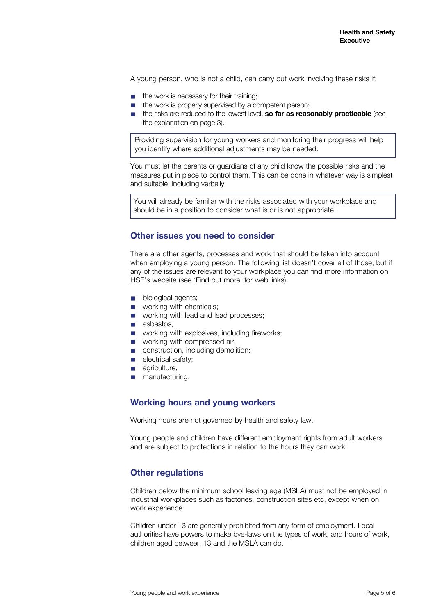A young person, who is not a child, can carry out work involving these risks if:

- the work is necessary for their training:
- the work is properly supervised by a competent person;
- the risks are reduced to the lowest level, so far as reasonably practicable (see the explanation on page 3).

Providing supervision for young workers and monitoring their progress will help you identify where additional adjustments may be needed.

You must let the parents or guardians of any child know the possible risks and the measures put in place to control them. This can be done in whatever way is simplest and suitable, including verbally.

You will already be familiar with the risks associated with your workplace and should be in a position to consider what is or is not appropriate.

#### **Other issues you need to consider**

There are other agents, processes and work that should be taken into account when employing a young person. The following list doesn't cover all of those, but if any of the issues are relevant to your workplace you can find more information on HSE's website (see 'Find out more' for web links):

- biological agents;
- working with chemicals;
- working with lead and lead processes;
- asbestos;
- working with explosives, including fireworks;
- working with compressed air;
- construction, including demolition;
- electrical safety;
- agriculture;
- manufacturing.

#### **Working hours and young workers**

Working hours are not governed by health and safety law.

Young people and children have different employment rights from adult workers and are subject to protections in relation to the hours they can work.

#### **Other regulations**

Children below the minimum school leaving age (MSLA) must not be employed in industrial workplaces such as factories, construction sites etc, except when on work experience.

Children under 13 are generally prohibited from any form of employment. Local authorities have powers to make bye-laws on the types of work, and hours of work, children aged between 13 and the MSLA can do.